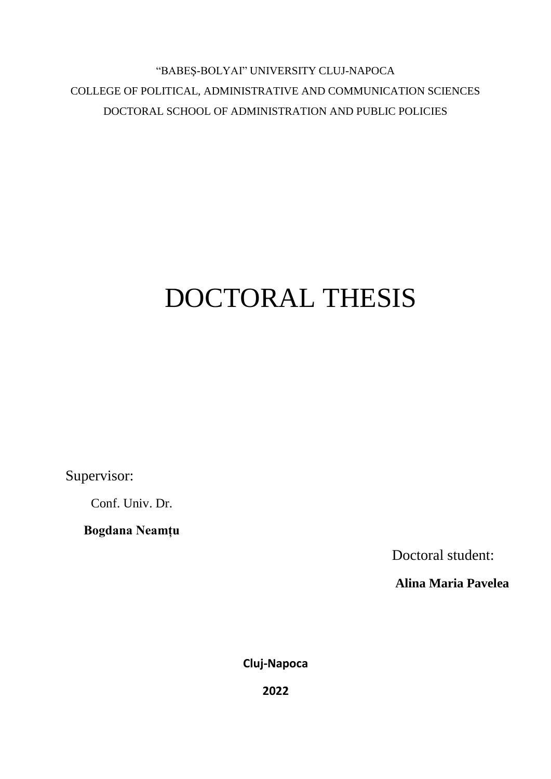"BABEŞ-BOLYAI" UNIVERSITY CLUJ-NAPOCA COLLEGE OF POLITICAL, ADMINISTRATIVE AND COMMUNICATION SCIENCES DOCTORAL SCHOOL OF ADMINISTRATION AND PUBLIC POLICIES

## DOCTORAL THESIS

Supervisor:

Conf. Univ. Dr.

**Bogdana Neamțu**

Doctoral student:

**Alina Maria Pavelea**

**Cluj-Napoca**

**2022**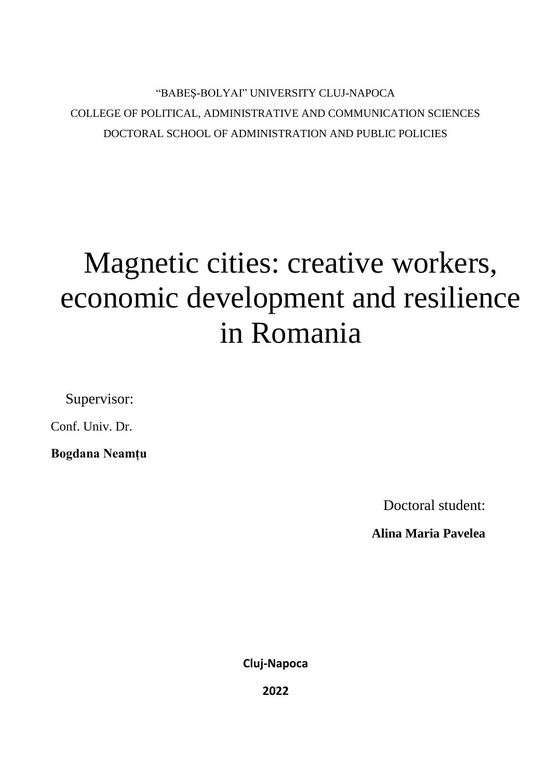## **"BABEŞ-BOLYAI" UNIVERSITY CLUJ-NAPOCA** COLLEGE OF POLITICAL, ADMINISTRATIVE AND COMMUNICATION SCIENCES DOCTORAL SCHOOL OF ADMINISTRATION AND PUBLIC POLICIES

# Magnetic cities: creative workers, economic development and resilience in Romania

Supervisor:

Conf. Univ. Dr.

**Bogdana Neamțu**

Doctoral student:

**Alina Maria Pavelea**

**Cluj-Napoca**

**2022**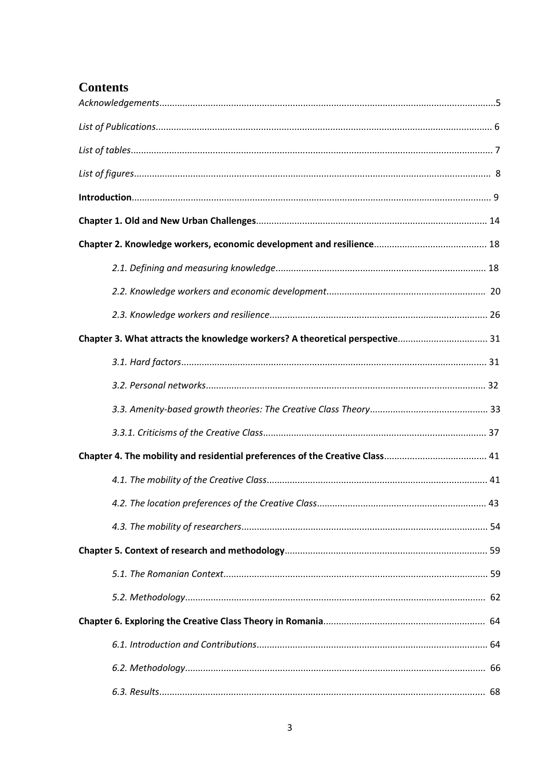## **Contents**

| Chapter 3. What attracts the knowledge workers? A theoretical perspective 31 |  |
|------------------------------------------------------------------------------|--|
|                                                                              |  |
|                                                                              |  |
|                                                                              |  |
|                                                                              |  |
|                                                                              |  |
|                                                                              |  |
|                                                                              |  |
|                                                                              |  |
|                                                                              |  |
|                                                                              |  |
|                                                                              |  |
|                                                                              |  |
|                                                                              |  |
|                                                                              |  |
|                                                                              |  |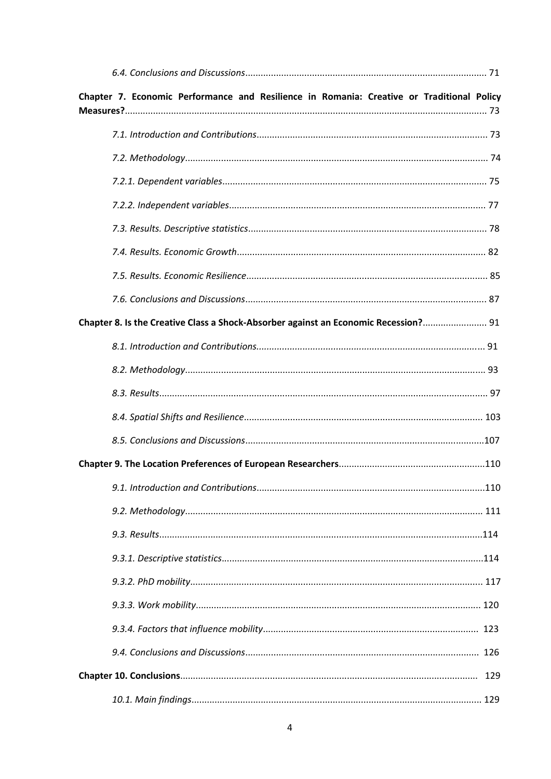| Chapter 7. Economic Performance and Resilience in Romania: Creative or Traditional Policy |     |
|-------------------------------------------------------------------------------------------|-----|
|                                                                                           |     |
|                                                                                           |     |
|                                                                                           |     |
|                                                                                           |     |
|                                                                                           |     |
|                                                                                           |     |
|                                                                                           |     |
|                                                                                           |     |
|                                                                                           |     |
| Chapter 8. Is the Creative Class a Shock-Absorber against an Economic Recession? 91       |     |
|                                                                                           |     |
|                                                                                           |     |
|                                                                                           |     |
|                                                                                           |     |
|                                                                                           |     |
|                                                                                           |     |
|                                                                                           |     |
|                                                                                           |     |
|                                                                                           |     |
|                                                                                           |     |
|                                                                                           |     |
|                                                                                           |     |
|                                                                                           |     |
|                                                                                           |     |
|                                                                                           | 129 |
|                                                                                           |     |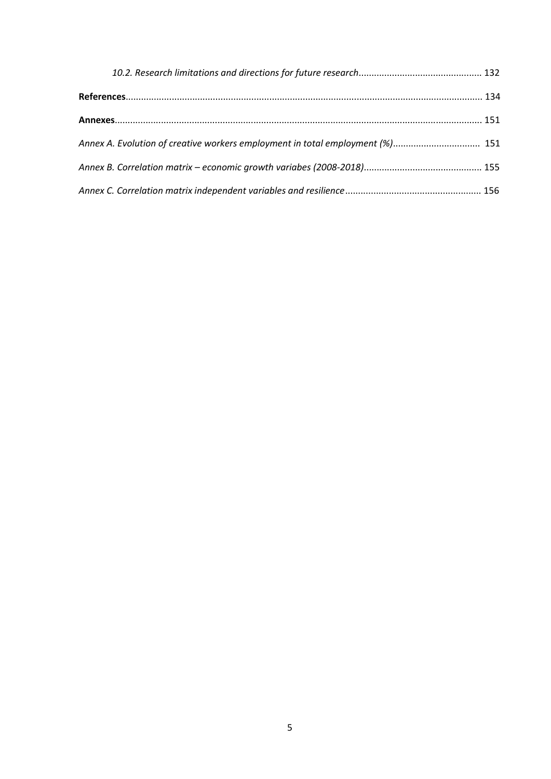| Annex A. Evolution of creative workers employment in total employment (%) 151 |  |
|-------------------------------------------------------------------------------|--|
|                                                                               |  |
|                                                                               |  |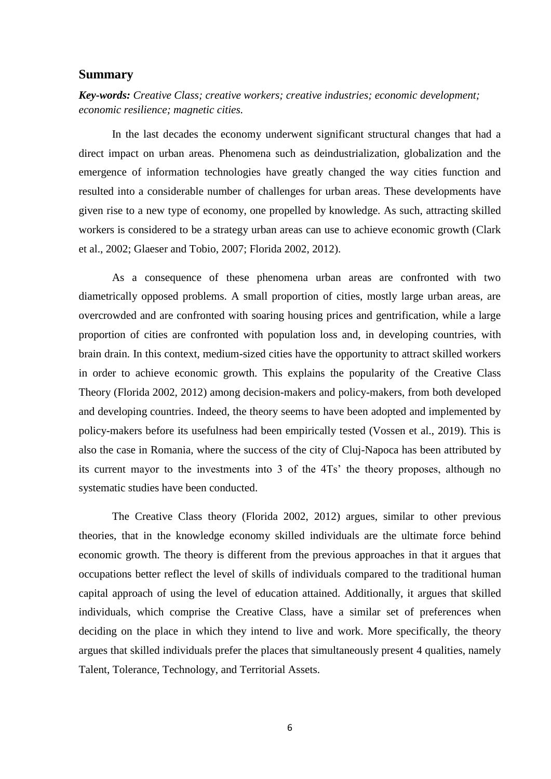#### **Summary**

*Key-words: Creative Class; creative workers; creative industries; economic development; economic resilience; magnetic cities.*

In the last decades the economy underwent significant structural changes that had a direct impact on urban areas. Phenomena such as deindustrialization, globalization and the emergence of information technologies have greatly changed the way cities function and resulted into a considerable number of challenges for urban areas. These developments have given rise to a new type of economy, one propelled by knowledge. As such, attracting skilled workers is considered to be a strategy urban areas can use to achieve economic growth (Clark et al., 2002; Glaeser and Tobio, 2007; Florida 2002, 2012).

As a consequence of these phenomena urban areas are confronted with two diametrically opposed problems. A small proportion of cities, mostly large urban areas, are overcrowded and are confronted with soaring housing prices and gentrification, while a large proportion of cities are confronted with population loss and, in developing countries, with brain drain. In this context, medium-sized cities have the opportunity to attract skilled workers in order to achieve economic growth. This explains the popularity of the Creative Class Theory (Florida 2002, 2012) among decision-makers and policy-makers, from both developed and developing countries. Indeed, the theory seems to have been adopted and implemented by policy-makers before its usefulness had been empirically tested (Vossen et al., 2019). This is also the case in Romania, where the success of the city of Cluj-Napoca has been attributed by its current mayor to the investments into 3 of the 4Ts' the theory proposes, although no systematic studies have been conducted.

The Creative Class theory (Florida 2002, 2012) argues, similar to other previous theories, that in the knowledge economy skilled individuals are the ultimate force behind economic growth. The theory is different from the previous approaches in that it argues that occupations better reflect the level of skills of individuals compared to the traditional human capital approach of using the level of education attained. Additionally, it argues that skilled individuals, which comprise the Creative Class, have a similar set of preferences when deciding on the place in which they intend to live and work. More specifically, the theory argues that skilled individuals prefer the places that simultaneously present 4 qualities, namely Talent, Tolerance, Technology, and Territorial Assets.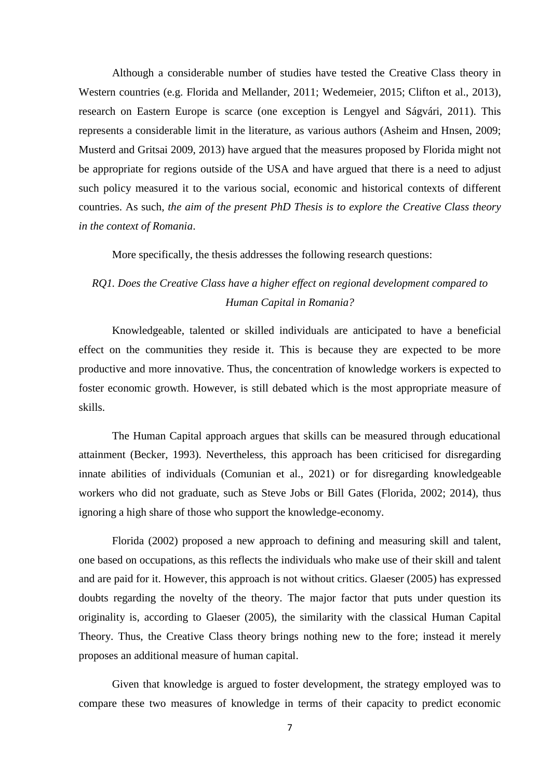Although a considerable number of studies have tested the Creative Class theory in Western countries (e.g. Florida and Mellander, 2011; Wedemeier, 2015; Clifton et al., 2013), research on Eastern Europe is scarce (one exception is Lengyel and Ságvári, 2011). This represents a considerable limit in the literature, as various authors (Asheim and Hnsen, 2009; Musterd and Gritsai 2009, 2013) have argued that the measures proposed by Florida might not be appropriate for regions outside of the USA and have argued that there is a need to adjust such policy measured it to the various social, economic and historical contexts of different countries. As such, *the aim of the present PhD Thesis is to explore the Creative Class theory in the context of Romania*.

More specifically, the thesis addresses the following research questions:

#### *RQ1. Does the Creative Class have a higher effect on regional development compared to Human Capital in Romania?*

Knowledgeable, talented or skilled individuals are anticipated to have a beneficial effect on the communities they reside it. This is because they are expected to be more productive and more innovative. Thus, the concentration of knowledge workers is expected to foster economic growth. However, is still debated which is the most appropriate measure of skills.

The Human Capital approach argues that skills can be measured through educational attainment (Becker, 1993). Nevertheless, this approach has been criticised for disregarding innate abilities of individuals (Comunian et al., 2021) or for disregarding knowledgeable workers who did not graduate, such as Steve Jobs or Bill Gates (Florida, 2002; 2014), thus ignoring a high share of those who support the knowledge-economy.

Florida (2002) proposed a new approach to defining and measuring skill and talent, one based on occupations, as this reflects the individuals who make use of their skill and talent and are paid for it. However, this approach is not without critics. Glaeser (2005) has expressed doubts regarding the novelty of the theory. The major factor that puts under question its originality is, according to Glaeser (2005), the similarity with the classical Human Capital Theory. Thus, the Creative Class theory brings nothing new to the fore; instead it merely proposes an additional measure of human capital.

Given that knowledge is argued to foster development, the strategy employed was to compare these two measures of knowledge in terms of their capacity to predict economic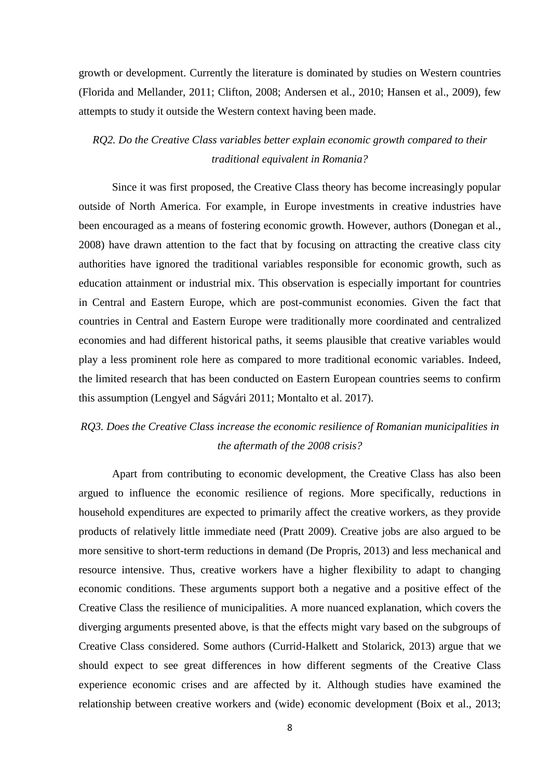growth or development. Currently the literature is dominated by studies on Western countries (Florida and Mellander, 2011; Clifton, 2008; Andersen et al., 2010; Hansen et al., 2009), few attempts to study it outside the Western context having been made.

*RQ2. Do the Creative Class variables better explain economic growth compared to their traditional equivalent in Romania?*

Since it was first proposed, the Creative Class theory has become increasingly popular outside of North America. For example, in Europe investments in creative industries have been encouraged as a means of fostering economic growth. However, authors (Donegan et al., 2008) have drawn attention to the fact that by focusing on attracting the creative class city authorities have ignored the traditional variables responsible for economic growth, such as education attainment or industrial mix. This observation is especially important for countries in Central and Eastern Europe, which are post-communist economies. Given the fact that countries in Central and Eastern Europe were traditionally more coordinated and centralized economies and had different historical paths, it seems plausible that creative variables would play a less prominent role here as compared to more traditional economic variables. Indeed, the limited research that has been conducted on Eastern European countries seems to confirm this assumption (Lengyel and Ságvári 2011; Montalto et al. 2017).

### *RQ3. Does the Creative Class increase the economic resilience of Romanian municipalities in the aftermath of the 2008 crisis?*

Apart from contributing to economic development, the Creative Class has also been argued to influence the economic resilience of regions. More specifically, reductions in household expenditures are expected to primarily affect the creative workers, as they provide products of relatively little immediate need (Pratt 2009). Creative jobs are also argued to be more sensitive to short-term reductions in demand (De Propris, 2013) and less mechanical and resource intensive. Thus, creative workers have a higher flexibility to adapt to changing economic conditions. These arguments support both a negative and a positive effect of the Creative Class the resilience of municipalities. A more nuanced explanation, which covers the diverging arguments presented above, is that the effects might vary based on the subgroups of Creative Class considered. Some authors (Currid-Halkett and Stolarick, 2013) argue that we should expect to see great differences in how different segments of the Creative Class experience economic crises and are affected by it. Although studies have examined the relationship between creative workers and (wide) economic development (Boix et al., 2013;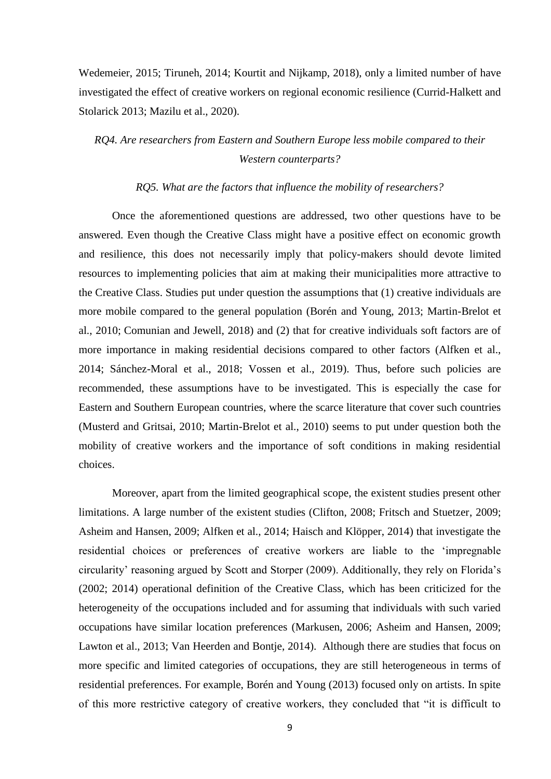Wedemeier, 2015; Tiruneh, 2014; Kourtit and Nijkamp, 2018), only a limited number of have investigated the effect of creative workers on regional economic resilience (Currid-Halkett and Stolarick 2013; Mazilu et al., 2020).

### *RQ4. Are researchers from Eastern and Southern Europe less mobile compared to their Western counterparts?*

#### *RQ5. What are the factors that influence the mobility of researchers?*

Once the aforementioned questions are addressed, two other questions have to be answered. Even though the Creative Class might have a positive effect on economic growth and resilience, this does not necessarily imply that policy-makers should devote limited resources to implementing policies that aim at making their municipalities more attractive to the Creative Class. Studies put under question the assumptions that (1) creative individuals are more mobile compared to the general population (Borén and Young, 2013; Martin-Brelot et al., 2010; Comunian and Jewell, 2018) and (2) that for creative individuals soft factors are of more importance in making residential decisions compared to other factors (Alfken et al., 2014; Sánchez-Moral et al., 2018; Vossen et al., 2019). Thus, before such policies are recommended, these assumptions have to be investigated. This is especially the case for Eastern and Southern European countries, where the scarce literature that cover such countries (Musterd and Gritsai, 2010; Martin-Brelot et al., 2010) seems to put under question both the mobility of creative workers and the importance of soft conditions in making residential choices.

Moreover, apart from the limited geographical scope, the existent studies present other limitations. A large number of the existent studies (Clifton, 2008; Fritsch and Stuetzer, 2009; Asheim and Hansen, 2009; Alfken et al., 2014; Haisch and Klöpper, 2014) that investigate the residential choices or preferences of creative workers are liable to the 'impregnable circularity' reasoning argued by Scott and Storper (2009). Additionally, they rely on Florida's (2002; 2014) operational definition of the Creative Class, which has been criticized for the heterogeneity of the occupations included and for assuming that individuals with such varied occupations have similar location preferences (Markusen, 2006; Asheim and Hansen, 2009; Lawton et al., 2013; Van Heerden and Bontje, 2014). Although there are studies that focus on more specific and limited categories of occupations, they are still heterogeneous in terms of residential preferences. For example, Borén and Young (2013) focused only on artists. In spite of this more restrictive category of creative workers, they concluded that "it is difficult to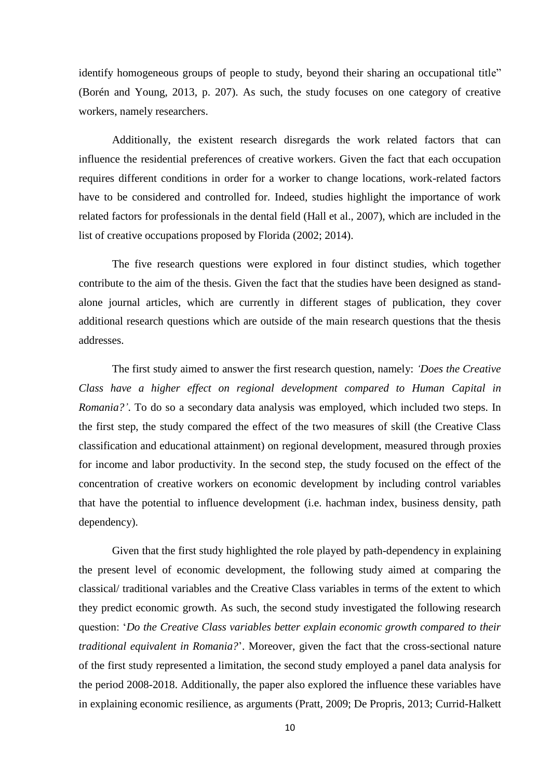identify homogeneous groups of people to study, beyond their sharing an occupational title" (Borén and Young, 2013, p. 207). As such, the study focuses on one category of creative workers, namely researchers.

Additionally, the existent research disregards the work related factors that can influence the residential preferences of creative workers. Given the fact that each occupation requires different conditions in order for a worker to change locations, work-related factors have to be considered and controlled for. Indeed, studies highlight the importance of work related factors for professionals in the dental field (Hall et al., 2007), which are included in the list of creative occupations proposed by Florida (2002; 2014).

The five research questions were explored in four distinct studies, which together contribute to the aim of the thesis. Given the fact that the studies have been designed as standalone journal articles, which are currently in different stages of publication, they cover additional research questions which are outside of the main research questions that the thesis addresses.

The first study aimed to answer the first research question, namely: *'Does the Creative Class have a higher effect on regional development compared to Human Capital in Romania?'*. To do so a secondary data analysis was employed, which included two steps. In the first step, the study compared the effect of the two measures of skill (the Creative Class classification and educational attainment) on regional development, measured through proxies for income and labor productivity. In the second step, the study focused on the effect of the concentration of creative workers on economic development by including control variables that have the potential to influence development (i.e. hachman index, business density, path dependency).

Given that the first study highlighted the role played by path-dependency in explaining the present level of economic development, the following study aimed at comparing the classical/ traditional variables and the Creative Class variables in terms of the extent to which they predict economic growth. As such, the second study investigated the following research question: ‗*Do the Creative Class variables better explain economic growth compared to their traditional equivalent in Romania?*'. Moreover, given the fact that the cross-sectional nature of the first study represented a limitation, the second study employed a panel data analysis for the period 2008-2018. Additionally, the paper also explored the influence these variables have in explaining economic resilience, as arguments (Pratt, 2009; De Propris, 2013; Currid-Halkett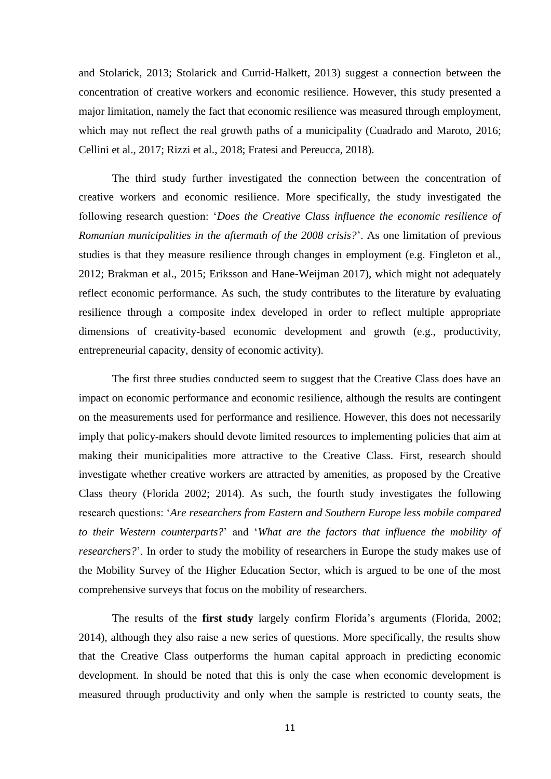and Stolarick, 2013; Stolarick and Currid-Halkett, 2013) suggest a connection between the concentration of creative workers and economic resilience. However, this study presented a major limitation, namely the fact that economic resilience was measured through employment, which may not reflect the real growth paths of a municipality (Cuadrado and Maroto, 2016; Cellini et al., 2017; Rizzi et al., 2018; Fratesi and Pereucca, 2018).

The third study further investigated the connection between the concentration of creative workers and economic resilience. More specifically, the study investigated the following research question: *'Does the Creative Class influence the economic resilience of Romanian municipalities in the aftermath of the 2008 crisis?*'. As one limitation of previous studies is that they measure resilience through changes in employment (e.g. Fingleton et al., 2012; Brakman et al., 2015; Eriksson and Hane-Weijman 2017), which might not adequately reflect economic performance. As such, the study contributes to the literature by evaluating resilience through a composite index developed in order to reflect multiple appropriate dimensions of creativity-based economic development and growth (e.g., productivity, entrepreneurial capacity, density of economic activity).

The first three studies conducted seem to suggest that the Creative Class does have an impact on economic performance and economic resilience, although the results are contingent on the measurements used for performance and resilience. However, this does not necessarily imply that policy-makers should devote limited resources to implementing policies that aim at making their municipalities more attractive to the Creative Class. First, research should investigate whether creative workers are attracted by amenities, as proposed by the Creative Class theory (Florida 2002; 2014). As such, the fourth study investigates the following research questions: ‗*Are researchers from Eastern and Southern Europe less mobile compared to their Western counterparts?*' and ‗*What are the factors that influence the mobility of researchers?*'. In order to study the mobility of researchers in Europe the study makes use of the Mobility Survey of the Higher Education Sector, which is argued to be one of the most comprehensive surveys that focus on the mobility of researchers.

The results of the **first study** largely confirm Florida's arguments (Florida, 2002; 2014), although they also raise a new series of questions. More specifically, the results show that the Creative Class outperforms the human capital approach in predicting economic development. In should be noted that this is only the case when economic development is measured through productivity and only when the sample is restricted to county seats, the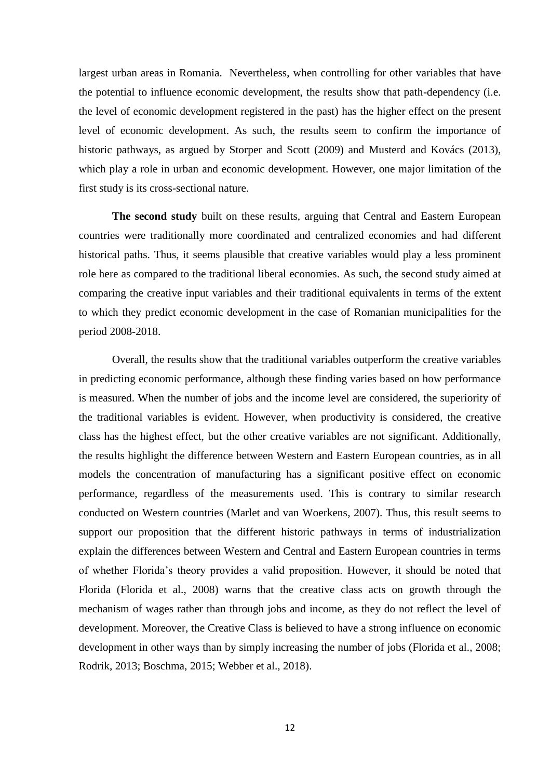largest urban areas in Romania. Nevertheless, when controlling for other variables that have the potential to influence economic development, the results show that path-dependency (i.e. the level of economic development registered in the past) has the higher effect on the present level of economic development. As such, the results seem to confirm the importance of historic pathways, as argued by Storper and Scott (2009) and Musterd and Kovács (2013), which play a role in urban and economic development. However, one major limitation of the first study is its cross-sectional nature.

**The second study** built on these results, arguing that Central and Eastern European countries were traditionally more coordinated and centralized economies and had different historical paths. Thus, it seems plausible that creative variables would play a less prominent role here as compared to the traditional liberal economies. As such, the second study aimed at comparing the creative input variables and their traditional equivalents in terms of the extent to which they predict economic development in the case of Romanian municipalities for the period 2008-2018.

Overall, the results show that the traditional variables outperform the creative variables in predicting economic performance, although these finding varies based on how performance is measured. When the number of jobs and the income level are considered, the superiority of the traditional variables is evident. However, when productivity is considered, the creative class has the highest effect, but the other creative variables are not significant. Additionally, the results highlight the difference between Western and Eastern European countries, as in all models the concentration of manufacturing has a significant positive effect on economic performance, regardless of the measurements used. This is contrary to similar research conducted on Western countries (Marlet and van Woerkens, 2007). Thus, this result seems to support our proposition that the different historic pathways in terms of industrialization explain the differences between Western and Central and Eastern European countries in terms of whether Florida's theory provides a valid proposition. However, it should be noted that Florida (Florida et al., 2008) warns that the creative class acts on growth through the mechanism of wages rather than through jobs and income, as they do not reflect the level of development. Moreover, the Creative Class is believed to have a strong influence on economic development in other ways than by simply increasing the number of jobs (Florida et al., 2008; Rodrik, 2013; Boschma, 2015; Webber et al., 2018).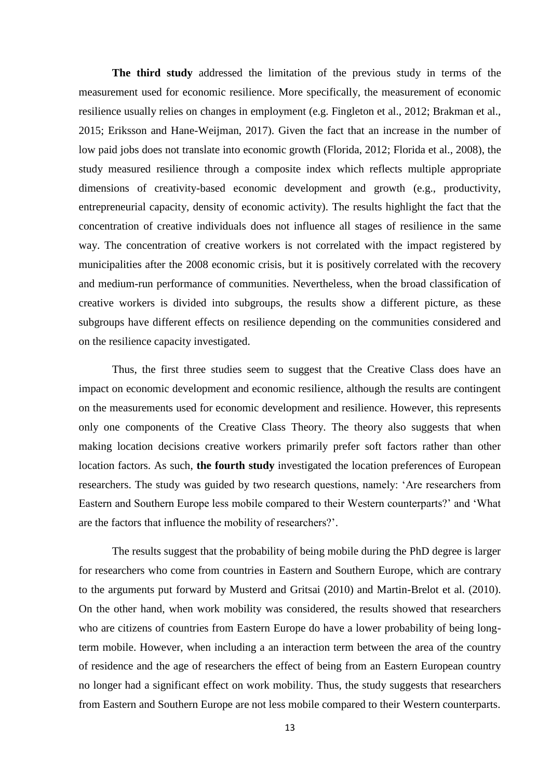**The third study** addressed the limitation of the previous study in terms of the measurement used for economic resilience. More specifically, the measurement of economic resilience usually relies on changes in employment (e.g. Fingleton et al., 2012; Brakman et al., 2015; Eriksson and Hane-Weijman, 2017). Given the fact that an increase in the number of low paid jobs does not translate into economic growth (Florida, 2012; Florida et al., 2008), the study measured resilience through a composite index which reflects multiple appropriate dimensions of creativity-based economic development and growth (e.g., productivity, entrepreneurial capacity, density of economic activity). The results highlight the fact that the concentration of creative individuals does not influence all stages of resilience in the same way. The concentration of creative workers is not correlated with the impact registered by municipalities after the 2008 economic crisis, but it is positively correlated with the recovery and medium-run performance of communities. Nevertheless, when the broad classification of creative workers is divided into subgroups, the results show a different picture, as these subgroups have different effects on resilience depending on the communities considered and on the resilience capacity investigated.

Thus, the first three studies seem to suggest that the Creative Class does have an impact on economic development and economic resilience, although the results are contingent on the measurements used for economic development and resilience. However, this represents only one components of the Creative Class Theory. The theory also suggests that when making location decisions creative workers primarily prefer soft factors rather than other location factors. As such, **the fourth study** investigated the location preferences of European researchers. The study was guided by two research questions, namely: ‗Are researchers from Eastern and Southern Europe less mobile compared to their Western counterparts?' and 'What are the factors that influence the mobility of researchers?'.

The results suggest that the probability of being mobile during the PhD degree is larger for researchers who come from countries in Eastern and Southern Europe, which are contrary to the arguments put forward by Musterd and Gritsai (2010) and Martin-Brelot et al. (2010). On the other hand, when work mobility was considered, the results showed that researchers who are citizens of countries from Eastern Europe do have a lower probability of being longterm mobile. However, when including a an interaction term between the area of the country of residence and the age of researchers the effect of being from an Eastern European country no longer had a significant effect on work mobility. Thus, the study suggests that researchers from Eastern and Southern Europe are not less mobile compared to their Western counterparts.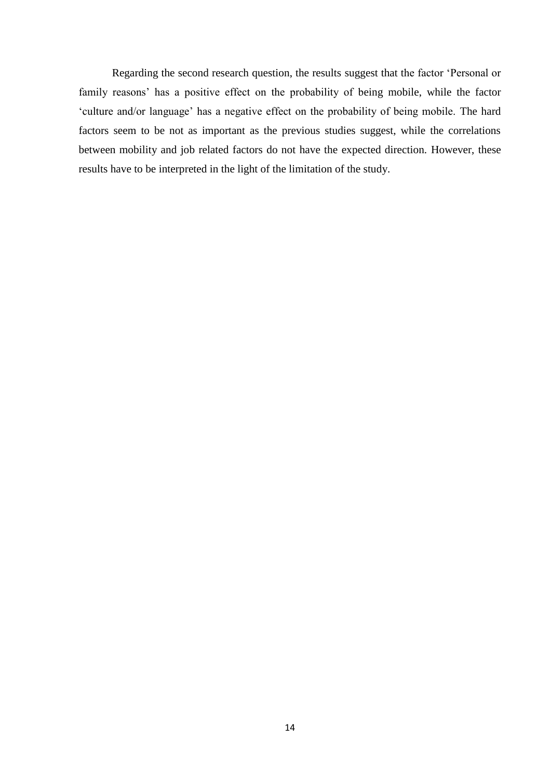Regarding the second research question, the results suggest that the factor 'Personal or family reasons' has a positive effect on the probability of being mobile, while the factor ‗culture and/or language' has a negative effect on the probability of being mobile. The hard factors seem to be not as important as the previous studies suggest, while the correlations between mobility and job related factors do not have the expected direction. However, these results have to be interpreted in the light of the limitation of the study.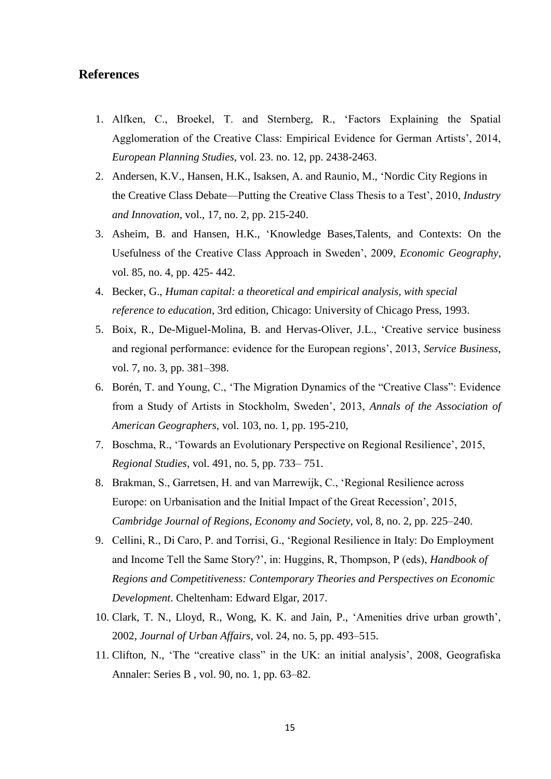#### **References**

- 1. Alfken, C., Broekel, T. and Sternberg, R., ‗Factors Explaining the Spatial Agglomeration of the Creative Class: Empirical Evidence for German Artists', 2014, *European Planning Studies*, vol. 23. no. 12, pp. 2438-2463.
- 2. Andersen, K.V., Hansen, H.K., Isaksen, A. and Raunio, M., ‗Nordic City Regions in the Creative Class Debate—Putting the Creative Class Thesis to a Test', 2010, *Industry and Innovation*, vol., 17, no. 2, pp. 215-240.
- 3. Asheim, B. and Hansen, H.K., ‗Knowledge Bases,Talents, and Contexts: On the Usefulness of the Creative Class Approach in Sweden', 2009, *Economic Geography*, vol. 85, no. 4, pp. 425- 442.
- 4. Becker, G., *Human capital: a theoretical and empirical analysis, with special reference to education*, 3rd edition, Chicago: University of Chicago Press, 1993.
- 5. Boix, R., De-Miguel-Molina, B. and Hervas-Oliver, J.L., ‗Creative service business and regional performance: evidence for the European regions', 2013, *Service Business*, vol. 7, no. 3, pp. 381–398.
- 6. Borén, T. and Young, C., 'The Migration Dynamics of the "Creative Class": Evidence from a Study of Artists in Stockholm, Sweden', 2013, *Annals of the Association of American Geographers*, vol. 103, no. 1, pp. 195-210,
- 7. Boschma, R., ‗Towards an Evolutionary Perspective on Regional Resilience', 2015, *Regional Studies*, vol. 491, no. 5, pp. 733– 751.
- 8. Brakman, S., Garretsen, H. and van Marrewijk, C., ‗Regional Resilience across Europe: on Urbanisation and the Initial Impact of the Great Recession', 2015, *Cambridge Journal of Regions, Economy and Society*, vol, 8, no. 2, pp. 225–240.
- 9. Cellini, R., Di Caro, P. and Torrisi, G., ‗Regional Resilience in Italy: Do Employment and Income Tell the Same Story?', in: Huggins, R, Thompson, P (eds), *Handbook of Regions and Competitiveness: Contemporary Theories and Perspectives on Economic Development*. Cheltenham: Edward Elgar, 2017.
- 10. Clark, T. N., Lloyd, R., Wong, K. K. and Jain, P., ‗Amenities drive urban growth', 2002*, Journal of Urban Affairs*, vol. 24, no. 5, pp. 493–515.
- 11. Clifton, N., 'The "creative class" in the UK: an initial analysis', 2008, Geografiska Annaler: Series B , vol. 90, no. 1, pp. 63–82.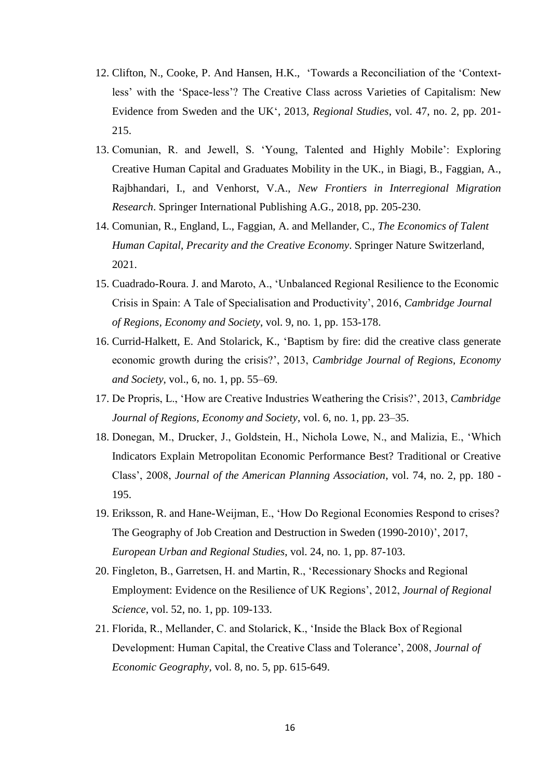- 12. Clifton, N., Cooke, P. And Hansen, H.K., 'Towards a Reconciliation of the 'Contextless' with the 'Space-less'? The Creative Class across Varieties of Capitalism: New Evidence from Sweden and the UK‗, 2013*, Regional Studies*, vol. 47, no. 2, pp. 201- 215.
- 13. Comunian, R. and Jewell, S. ‗Young, Talented and Highly Mobile': Exploring Creative Human Capital and Graduates Mobility in the UK., in Biagi, B., Faggian, A., Rajbhandari, I., and Venhorst, V.A., *New Frontiers in Interregional Migration Research*. Springer International Publishing A.G., 2018, pp. 205-230.
- 14. Comunian, R., England, L., Faggian, A. and Mellander, C., *The Economics of Talent Human Capital, Precarity and the Creative Economy*. Springer Nature Switzerland, 2021.
- 15. Cuadrado-Roura. J. and Maroto, A., ‗Unbalanced Regional Resilience to the Economic Crisis in Spain: A Tale of Specialisation and Productivity', 2016, *Cambridge Journal of Regions, Economy and Society*, vol. 9, no. 1, pp. 153-178.
- 16. Currid-Halkett, E. And Stolarick, K., ‗Baptism by fire: did the creative class generate economic growth during the crisis?', 2013, *Cambridge Journal of Regions, Economy and Society*, vol., 6, no. 1, pp. 55–69.
- 17. De Propris, L., ‗How are Creative Industries Weathering the Crisis?', 2013, *Cambridge Journal of Regions, Economy and Society*, vol. 6, no. 1, pp. 23–35.
- 18. Donegan, M., Drucker, J., Goldstein, H., Nichola Lowe, N., and Malizia, E., 'Which Indicators Explain Metropolitan Economic Performance Best? Traditional or Creative Class', 2008, *Journal of the American Planning Association*, vol. 74, no. 2, pp. 180 - 195.
- 19. Eriksson, R. and Hane-Weijman, E., ‗How Do Regional Economies Respond to crises? The Geography of Job Creation and Destruction in Sweden (1990-2010)', 2017, *European Urban and Regional Studies*, vol. 24, no. 1, pp. 87-103.
- 20. Fingleton, B., Garretsen, H. and Martin, R., ‗Recessionary Shocks and Regional Employment: Evidence on the Resilience of UK Regions', 2012, *Journal of Regional Science*, vol. 52, no. 1, pp. 109-133.
- 21. Florida, R., Mellander, C. and Stolarick, K., ‗Inside the Black Box of Regional Development: Human Capital, the Creative Class and Tolerance', 2008, *Journal of Economic Geography*, vol. 8, no. 5, pp. 615-649.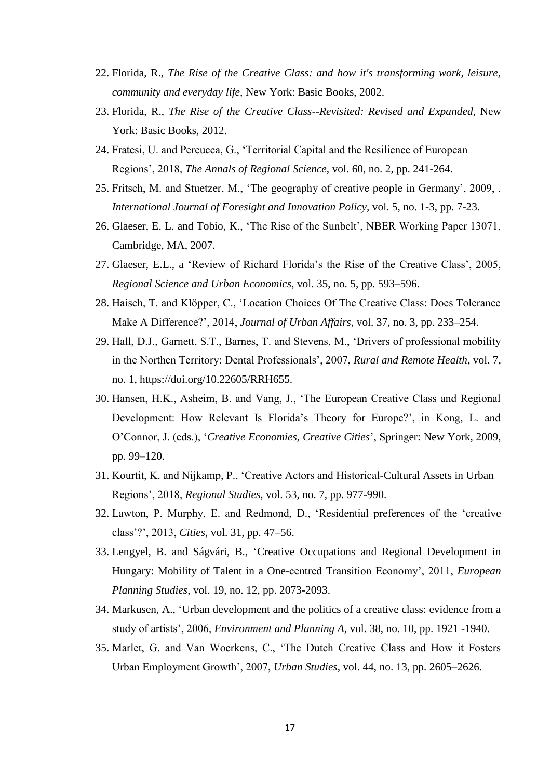- 22. Florida, R., *The Rise of the Creative Class: and how it's transforming work, leisure, community and everyday life,* New York: Basic Books, 2002.
- 23. Florida, R., *The Rise of the Creative Class--Revisited: Revised and Expanded,* New York: Basic Books, 2012.
- 24. Fratesi, U. and Pereucca, G., ‗Territorial Capital and the Resilience of European Regions', 2018, *The Annals of Regional Science*, vol. 60, no. 2, pp. 241-264.
- 25. Fritsch, M. and Stuetzer, M., 'The geography of creative people in Germany', 2009, . *International Journal of Foresight and Innovation Policy,* vol. 5, no. 1-3, pp. 7-23.
- 26. Glaeser, E. L. and Tobio, K., ‗The Rise of the Sunbelt', NBER Working Paper 13071, Cambridge, MA, 2007.
- 27. Glaeser, E.L., a 'Review of Richard Florida's the Rise of the Creative Class', 2005, *Regional Science and Urban Economics*, vol. 35, no. 5, pp. 593–596.
- 28. Haisch, T. and Klöpper, C., ‗Location Choices Of The Creative Class: Does Tolerance Make A Difference?', 2014, *Journal of Urban Affairs*, vol. 37, no. 3, pp. 233–254.
- 29. Hall, D.J., Garnett, S.T., Barnes, T. and Stevens, M., ‗Drivers of professional mobility in the Northen Territory: Dental Professionals', 2007, *Rural and Remote Health*, vol. 7, no. 1, https://doi.org/10.22605/RRH655.
- 30. Hansen, H.K., Asheim, B. and Vang, J., ‗The European Creative Class and Regional Development: How Relevant Is Florida's Theory for Europe?', in Kong, L. and O'Connor, J. (eds.), ‗*Creative Economies, Creative Cities*', Springer: New York, 2009, pp. 99–120.
- 31. Kourtit, K. and Nijkamp, P., ‗Creative Actors and Historical-Cultural Assets in Urban Regions', 2018, *Regional Studies*, vol. 53, no. 7, pp. 977-990.
- 32. Lawton, P. Murphy, E. and Redmond, D., ‗Residential preferences of the ‗creative class'?', 2013, *Cities*, vol. 31, pp. 47–56.
- 33. Lengyel, B. and Ságvári, B., ‗Creative Occupations and Regional Development in Hungary: Mobility of Talent in a One-centred Transition Economy', 2011, *European Planning Studies*, vol. 19, no. 12, pp. 2073-2093.
- 34. Markusen, A., ‗Urban development and the politics of a creative class: evidence from a study of artists', 2006, *Environment and Planning A*, vol. 38, no. 10, pp. 1921 -1940.
- 35. Marlet, G. and Van Woerkens, C., ‗The Dutch Creative Class and How it Fosters Urban Employment Growth', 2007, *Urban Studies*, vol. 44, no. 13, pp. 2605–2626.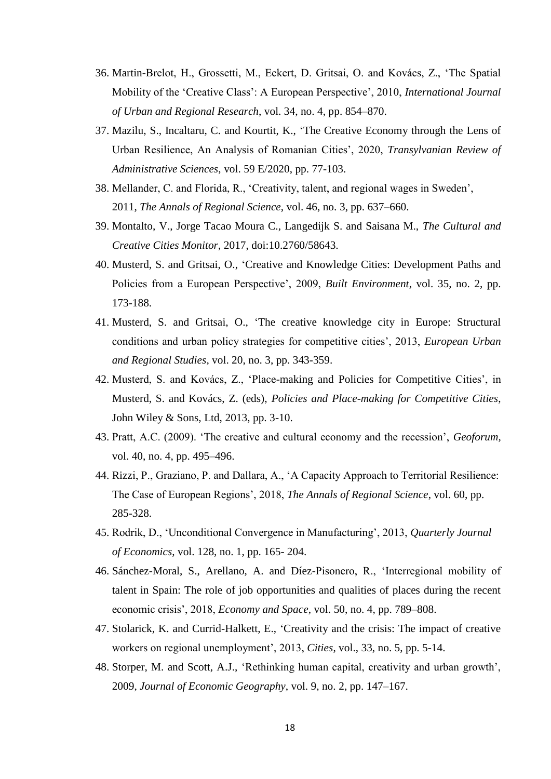- 36. Martin-Brelot, H., Grossetti, M., Eckert, D. Gritsai, O. and Kovács, Z., ‗The Spatial Mobility of the ‗Creative Class': A European Perspective', 2010, *International Journal of Urban and Regional Research*, vol. 34, no. 4, pp. 854–870.
- 37. Mazilu, S., Incaltaru, C. and Kourtit, K., ‗The Creative Economy through the Lens of Urban Resilience, An Analysis of Romanian Cities', 2020, *Transylvanian Review of Administrative Sciences*, vol. 59 E/2020, pp. 77-103.
- 38. Mellander, C. and Florida, R., ‗Creativity, talent, and regional wages in Sweden', 2011, *The Annals of Regional Science*, vol. 46, no. 3, pp. 637–660.
- 39. Montalto, V., Jorge Tacao Moura C., Langedijk S. and Saisana M., *The Cultural and Creative Cities Monitor*, 2017, doi:10.2760/58643.
- 40. Musterd, S. and Gritsai, O., ‗Creative and Knowledge Cities: Development Paths and Policies from a European Perspective', 2009, *Built Environment*, vol. 35, no. 2, pp. 173-188.
- 41. Musterd, S. and Gritsai, O., ‗The creative knowledge city in Europe: Structural conditions and urban policy strategies for competitive cities', 2013, *European Urban and Regional Studies*, vol. 20, no. 3, pp. 343-359.
- 42. Musterd, S. and Kovács, Z., ‗Place-making and Policies for Competitive Cities', in Musterd, S. and Kovács, Z. (eds), *Policies and Place-making for Competitive Cities*, John Wiley & Sons, Ltd, 2013, pp. 3-10.
- 43. Pratt, A.C. (2009). ‗The creative and cultural economy and the recession', *Geoforum,*  vol. 40, no. 4, pp. 495–496.
- 44. Rizzi, P., Graziano, P. and Dallara, A., ‗A Capacity Approach to Territorial Resilience: The Case of European Regions', 2018, *The Annals of Regional Science*, vol. 60, pp. 285-328.
- 45. Rodrik, D., ‗Unconditional Convergence in Manufacturing', 2013, *Quarterly Journal of Economics*, vol. 128, no. 1, pp. 165- 204.
- 46. Sánchez-Moral, S., Arellano, A. and Díez-Pisonero, R., ‗Interregional mobility of talent in Spain: The role of job opportunities and qualities of places during the recent economic crisis', 2018, *Economy and Space*, vol. 50, no. 4, pp. 789–808.
- 47. Stolarick, K. and Currid-Halkett, E., ‗Creativity and the crisis: The impact of creative workers on regional unemployment', 2013, *Cities*, vol., 33, no. 5, pp. 5-14.
- 48. Storper, M. and Scott, A.J., ‗Rethinking human capital, creativity and urban growth', 2009, *Journal of Economic Geography*, vol. 9, no. 2, pp. 147–167.